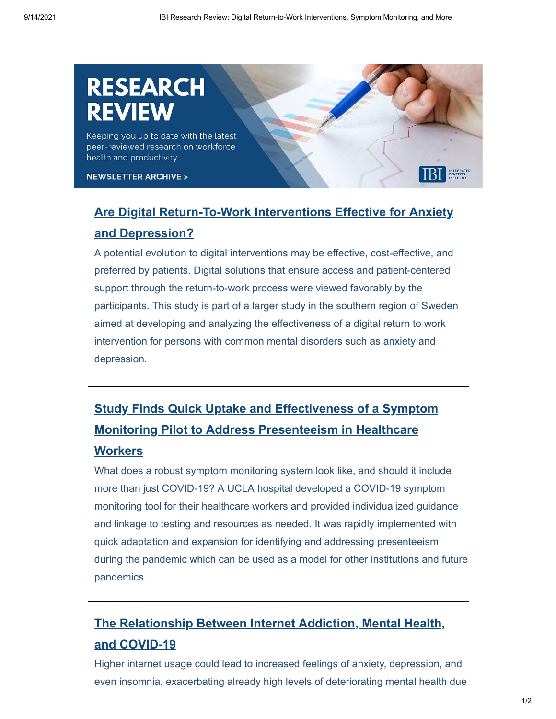# RESEARCH

Keeping you up to date with the latest peer-reviewed research on workforce health and productivity

**NEWSLETTER ARCHIVE >** 

### **[Are Digital Return-To-Work Interventions Effective for Anxiety](https://bmcpsychiatry.biomedcentral.com/articles/10.1186/s12888-021-03386-w#:~:text=%20Acceptability%20of%20a%20digital%20return-to-work%20intervention%20for,increasing%20globally%20and%20constitute%20one%20of...%20More%20) and Depression?**

A potential evolution to digital interventions may be effective, cost-effective, and preferred by patients. Digital solutions that ensure access and patient-centered support through the return-to-work process were viewed favorably by the participants. This study is part of a larger study in the southern region of Sweden aimed at developing and analyzing the effectiveness of a digital return to work intervention for persons with common mental disorders such as anxiety and depression.

## **[Study Finds Quick Uptake and Effectiveness of a Symptom](https://www.sciencedirect.com/science/article/pii/S0196655321000869#:~:text=%20Universal%20symptom%20monitoring%20to%20address%20presenteeism%20in,AND%20METHODS.%20We%20developed%20an%20electronic%2C...%20More%20) Monitoring Pilot to Address Presenteeism in Healthcare**

#### **Workers**

What does a robust symptom monitoring system look like, and should it include more than just COVID-19? A UCLA hospital developed a COVID-19 symptom monitoring tool for their healthcare workers and provided individualized guidance and linkage to testing and resources as needed. It was rapidly implemented with quick adaptation and expansion for identifying and addressing presenteeism during the pandemic which can be used as a model for other institutions and future pandemics.

### **[The Relationship Between Internet Addiction, Mental Health,](https://www.ncbi.nlm.nih.gov/pmc/articles/PMC8247617/) and COVID-19**

Higher internet usage could lead to increased feelings of anxiety, depression, and even insomnia, exacerbating already high levels of deteriorating mental health due